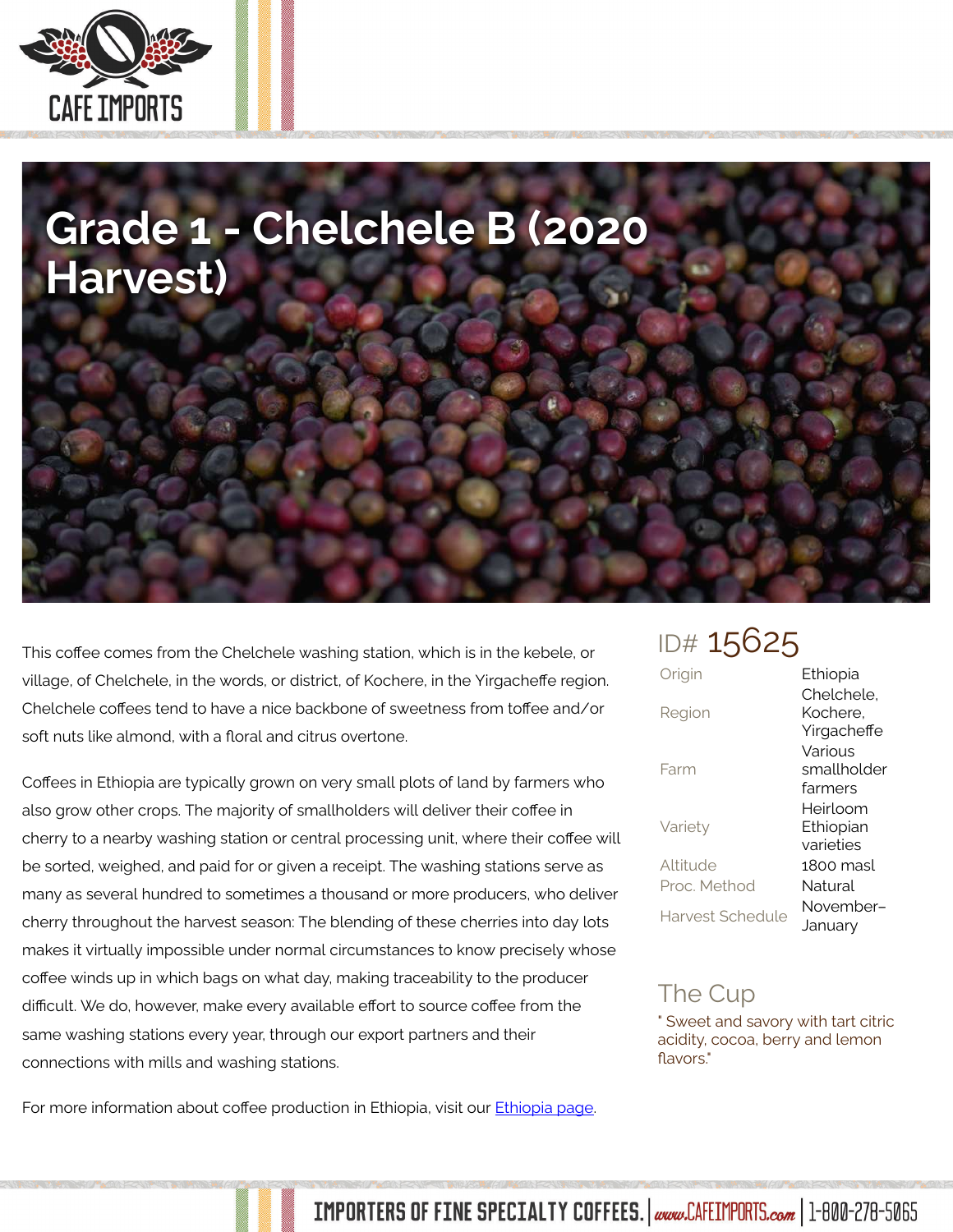

## **Grade 1 - Chelchele B (2020 Harvest)**

This coffee comes from the Chelchele washing station, which is in the kebele, or village, of Chelchele, in the words, or district, of Kochere, in the Yirgacheffe region. Chelchele coffees tend to have a nice backbone of sweetness from toffee and/or soft nuts like almond, with a floral and citrus overtone.

Coffees in Ethiopia are typically grown on very small plots of land by farmers who also grow other crops. The majority of smallholders will deliver their coffee in cherry to a nearby washing station or central processing unit, where their coffee will be sorted, weighed, and paid for or given a receipt. The washing stations serve as many as several hundred to sometimes a thousand or more producers, who deliver cherry throughout the harvest season: The blending of these cherries into day lots makes it virtually impossible under normal circumstances to know precisely whose coffee winds up in which bags on what day, making traceability to the producer difficult. We do, however, make every available effort to source coffee from the same washing stations every year, through our export partners and their connections with mills and washing stations.

For more information about coffee production in Ethiopia, visit our [Ethiopia page.](http://www.cafeimports.com/Ethiopia)

## ID# 15625

| Origin                  | Ethiopia                              |
|-------------------------|---------------------------------------|
| Region                  | Chelchele.<br>Kochere.<br>Yirgacheffe |
| Farm                    | Various<br>smallholder<br>farmers     |
| Variety                 | Heirloom<br>Ethiopian<br>varieties    |
| Altitude                | 1800 masl                             |
| Proc Method             | Natural                               |
| <b>Harvest Schedule</b> | November–<br>January                  |
|                         |                                       |

## The Cup

" Sweet and savory with tart citric acidity, cocoa, berry and lemon flavors."